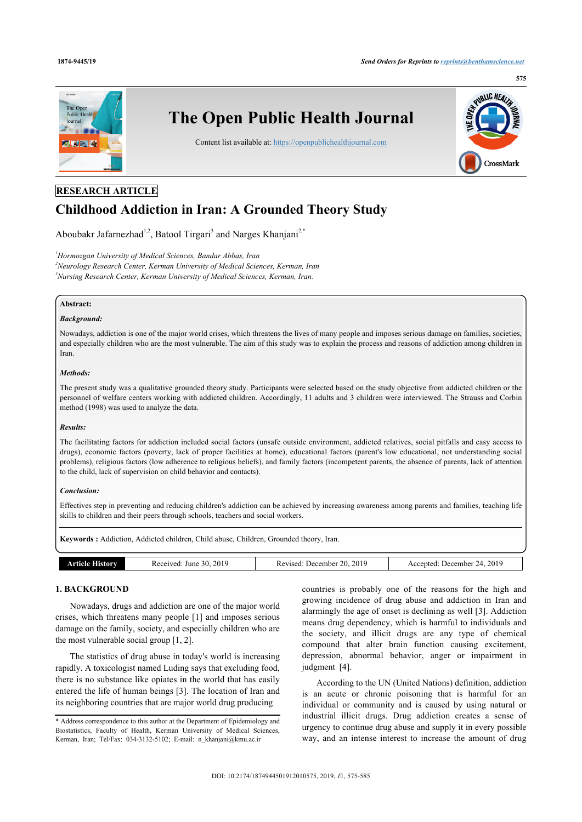

# **RESEARCH ARTICLE**

# **Childhood Addiction in Iran: A Grounded Theory Study**

Aboubakr Jafarnezhad<sup>[1,](#page-0-0)[2](#page-0-1)</sup>, Batool Tirgari<sup>[3](#page-0-2)</sup> and Narges Khanjani<sup>2,[\\*](#page-0-3)</sup>

<span id="page-0-2"></span><span id="page-0-1"></span><span id="page-0-0"></span>*<sup>1</sup>Hormozgan University of Medical Sciences, Bandar Abbas, Iran <sup>2</sup>Neurology Research Center, Kerman University of Medical Sciences, Kerman, Iran <sup>3</sup>Nursing Research Center, Kerman University of Medical Sciences, Kerman, Iran.*

# **Abstract:**

### *Background:*

Nowadays, addiction is one of the major world crises, which threatens the lives of many people and imposes serious damage on families, societies, and especially children who are the most vulnerable. The aim of this study was to explain the process and reasons of addiction among children in Iran.

#### *Methods:*

The present study was a qualitative grounded theory study. Participants were selected based on the study objective from addicted children or the personnel of welfare centers working with addicted children. Accordingly, 11 adults and 3 children were interviewed. The Strauss and Corbin method (1998) was used to analyze the data.

#### *Results:*

The facilitating factors for addiction included social factors (unsafe outside environment, addicted relatives, social pitfalls and easy access to drugs), economic factors (poverty, lack of proper facilities at home), educational factors (parent's low educational, not understanding social problems), religious factors (low adherence to religious beliefs), and family factors (incompetent parents, the absence of parents, lack of attention to the child, lack of supervision on child behavior and contacts).

#### *Conclusion:*

Effectives step in preventing and reducing children's addiction can be achieved by increasing awareness among parents and families, teaching life skills to children and their peers through schools, teachers and social workers.

**Keywords :** Addiction, Addicted children, Child abuse, Children, Grounded theory, Iran.

| . June 30, 2019<br>December 24, $201^\circ$<br>. 20. 2019<br>Received:<br>December.<br><b>Article History</b><br>Accepted:<br>Revised: |  |  |
|----------------------------------------------------------------------------------------------------------------------------------------|--|--|
|                                                                                                                                        |  |  |

# **1. BACKGROUND**

Nowadays, drugs and addiction are one of the major world crises, which threatens many people [[1](#page-10-0)] and imposes serious damage on the family, society, and especially children who are the most vulnerable social group [\[1,](#page-10-0) [2\]](#page-10-1).

The statistics of drug abuse in today's world is increasing rapidly. A toxicologist named Luding says that excluding food, there is no substance like opiates in the world that has easily entered the life of human beings [\[3\]](#page-10-2). The location of Iran and its neighboring countries that are major world drug producing

countries is probably one of the reasons for the high and growing incidence of drug abuse and addiction in Iran and alarmingly the age of onset is declining as well [\[3](#page-10-2)]. Addiction means drug dependency, which is harmful to individuals and the society, and illicit drugs are any type of chemical compound that alter brain function causing excitement, depression, abnormal behavior, anger or impairment in judgment [\[4\]](#page-10-3).

According to the UN (United Nations) definition, addiction is an acute or chronic poisoning that is harmful for an individual or community and is caused by using natural or industrial illicit drugs. Drug addiction creates a sense of urgency to continue drug abuse and supply it in every possible way, and an intense interest to increase the amount of drug

<span id="page-0-3"></span><sup>\*</sup> Address correspondence to this author at the Department of Epidemiology and Biostatistics, Faculty of Health, Kerman University of Medical Sciences, Kerman, Iran; Tel/Fax: 034-3132-5102; E-mail: n khanjani@kmu.ac.ir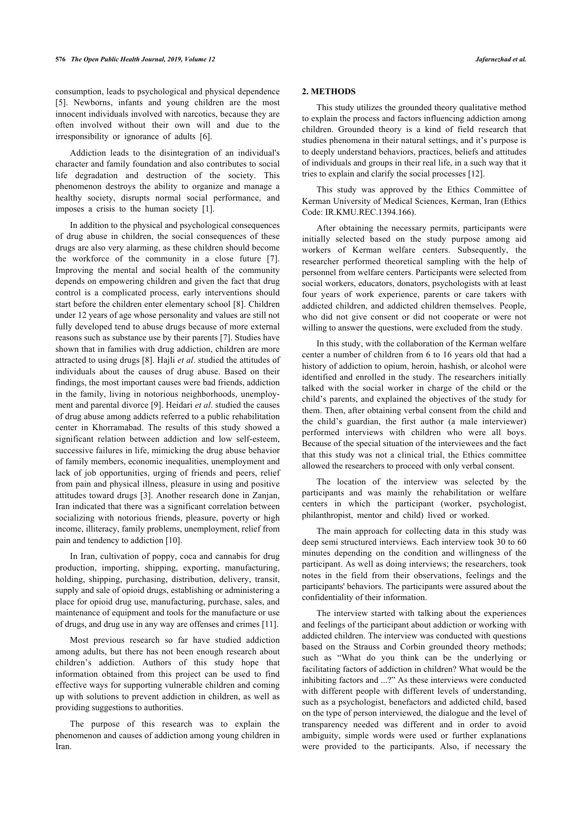consumption, leads to psychological and physical dependence [[5](#page-10-4)]. Newborns, infants and young children are the most innocent individuals involved with narcotics, because they are often involved without their own will and due to the irresponsibility or ignorance of adults [\[6\]](#page-10-5).

Addiction leads to the disintegration of an individual's character and family foundation and also contributes to social life degradation and destruction of the society. This phenomenon destroys the ability to organize and manage a healthy society, disrupts normal social performance, and imposes a crisis to the human society[[1](#page-10-0)].

In addition to the physical and psychological consequences of drug abuse in children, the social consequences of these drugs are also very alarming, as these children should become the workforce of the community in a close future [\[7\]](#page-10-6). Improving the mental and social health of the community depends on empowering children and given the fact that drug control is a complicated process, early interventions should start before the children enter elementary school [[8](#page-10-7)]. Children under 12 years of age whose personality and values are still not fully developed tend to abuse drugs because of more external reasons such as substance use by their parents [\[7\]](#page-10-6). Studies have shown that in families with drug addiction, children are more attracted to using drugs [\[8](#page-10-7)]. Hajli *et al*. studied the attitudes of individuals about the causes of drug abuse. Based on their findings, the most important causes were bad friends, addiction in the family, living in notorious neighborhoods, unemployment and parental divorce [\[9\]](#page-10-8). Heidari *et al*. studied the causes of drug abuse among addicts referred to a public rehabilitation center in Khorramabad. The results of this study showed a significant relation between addiction and low self-esteem, successive failures in life, mimicking the drug abuse behavior of family members, economic inequalities, unemployment and lack of job opportunities, urging of friends and peers, relief from pain and physical illness, pleasure in using and positive attitudes toward drugs [[3](#page-10-2)]. Another research done in Zanjan, Iran indicated that there was a significant correlation between socializing with notorious friends, pleasure, poverty or high income, illiteracy, family problems, unemployment, relief from pain and tendency to addiction [\[10](#page-10-9)].

In Iran, cultivation of poppy, coca and cannabis for drug production, importing, shipping, exporting, manufacturing, holding, shipping, purchasing, distribution, delivery, transit, supply and sale of opioid drugs, establishing or administering a place for opioid drug use, manufacturing, purchase, sales, and maintenance of equipment and tools for the manufacture or use of drugs, and drug use in any way are offenses and crimes [[11\]](#page-10-10).

Most previous research so far have studied addiction among adults, but there has not been enough research about children's addiction. Authors of this study hope that information obtained from this project can be used to find effective ways for supporting vulnerable children and coming up with solutions to prevent addiction in children, as well as providing suggestions to authorities.

The purpose of this research was to explain the phenomenon and causes of addiction among young children in Iran.

#### **2. METHODS**

This study utilizes the grounded theory qualitative method to explain the process and factors influencing addiction among children. Grounded theory is a kind of field research that studies phenomena in their natural settings, and it's purpose is to deeply understand behaviors, practices, beliefs and attitudes of individuals and groups in their real life, in a such way that it tries to explain and clarify the social processes [[12\]](#page-10-11).

This study was approved by the Ethics Committee of Kerman University of Medical Sciences, Kerman, Iran (Ethics Code: IR.KMU.REC.1394.166).

After obtaining the necessary permits, participants were initially selected based on the study purpose among aid workers of Kerman welfare centers. Subsequently, the researcher performed theoretical sampling with the help of personnel from welfare centers. Participants were selected from social workers, educators, donators, psychologists with at least four years of work experience, parents or care takers with addicted children, and addicted children themselves. People, who did not give consent or did not cooperate or were not willing to answer the questions, were excluded from the study.

In this study, with the collaboration of the Kerman welfare center a number of children from 6 to 16 years old that had a history of addiction to opium, heroin, hashish, or alcohol were identified and enrolled in the study. The researchers initially talked with the social worker in charge of the child or the child's parents, and explained the objectives of the study for them. Then, after obtaining verbal consent from the child and the child's guardian, the first author (a male interviewer) performed interviews with children who were all boys. Because of the special situation of the interviewees and the fact that this study was not a clinical trial, the Ethics committee allowed the researchers to proceed with only verbal consent.

The location of the interview was selected by the participants and was mainly the rehabilitation or welfare centers in which the participant (worker, psychologist, philanthropist, mentor and child) lived or worked.

The main approach for collecting data in this study was deep semi structured interviews. Each interview took 30 to 60 minutes depending on the condition and willingness of the participant. As well as doing interviews; the researchers, took notes in the field from their observations, feelings and the participants' behaviors. The participants were assured about the confidentiality of their information.

The interview started with talking about the experiences and feelings of the participant about addiction or working with addicted children. The interview was conducted with questions based on the Strauss and Corbin grounded theory methods; such as "What do you think can be the underlying or facilitating factors of addiction in children? What would be the inhibiting factors and ...?" As these interviews were conducted with different people with different levels of understanding, such as a psychologist, benefactors and addicted child, based on the type of person interviewed, the dialogue and the level of transparency needed was different and in order to avoid ambiguity, simple words were used or further explanations were provided to the participants. Also, if necessary the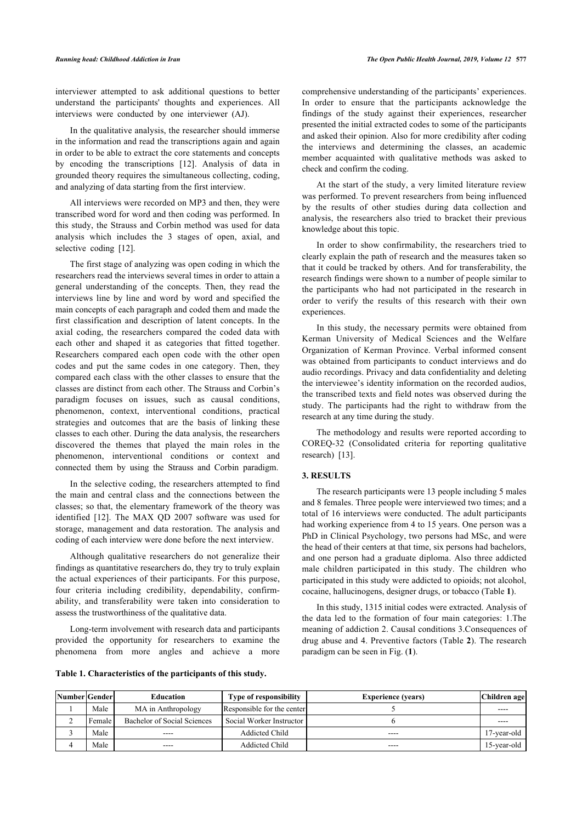interviewer attempted to ask additional questions to better understand the participants' thoughts and experiences. All interviews were conducted by one interviewer (AJ).

In the qualitative analysis, the researcher should immerse in the information and read the transcriptions again and again in order to be able to extract the core statements and concepts by encoding the transcriptions[[12](#page-10-11)]. Analysis of data in grounded theory requires the simultaneous collecting, coding, and analyzing of data starting from the first interview.

All interviews were recorded on MP3 and then, they were transcribed word for word and then coding was performed. In this study, the Strauss and Corbin method was used for data analysis which includes the 3 stages of open, axial, and selective coding [\[12](#page-10-11)].

The first stage of analyzing was open coding in which the researchers read the interviews several times in order to attain a general understanding of the concepts. Then, they read the interviews line by line and word by word and specified the main concepts of each paragraph and coded them and made the first classification and description of latent concepts. In the axial coding, the researchers compared the coded data with each other and shaped it as categories that fitted together. Researchers compared each open code with the other open codes and put the same codes in one category. Then, they compared each class with the other classes to ensure that the classes are distinct from each other. The Strauss and Corbin's paradigm focuses on issues, such as causal conditions, phenomenon, context, interventional conditions, practical strategies and outcomes that are the basis of linking these classes to each other. During the data analysis, the researchers discovered the themes that played the main roles in the phenomenon, interventional conditions or context and connected them by using the Strauss and Corbin paradigm.

In the selective coding, the researchers attempted to find the main and central class and the connections between the classes; so [tha](#page-10-11)t, the elementary framework of the theory was identified [12]. The MAX QD 2007 software was used for storage, management and data restoration. The analysis and coding of each interview were done before the next interview.

Although qualitative researchers do not generalize their findings as quantitative researchers do, they try to truly explain the actual experiences of their participants. For this purpose, four criteria including credibility, dependability, confirmability, and transferability were taken into consideration to assess the trustworthiness of the qualitative data.

Long-term involvement with research data and participants provided the opportunity for researchers to examine the phenomena from more angles and achieve a more

<span id="page-2-0"></span>**Table 1. Characteristics of the participants of this study.**

comprehensive understanding of the participants' experiences. In order to ensure that the participants acknowledge the findings of the study against their experiences, researcher presented the initial extracted codes to some of the participants and asked their opinion. Also for more credibility after coding the interviews and determining the classes, an academic member acquainted with qualitative methods was asked to check and confirm the coding.

At the start of the study, a very limited literature review was performed. To prevent researchers from being influenced by the results of other studies during data collection and analysis, the researchers also tried to bracket their previous knowledge about this topic.

In order to show confirmability, the researchers tried to clearly explain the path of research and the measures taken so that it could be tracked by others. And for transferability, the research findings were shown to a number of people similar to the participants who had not participated in the research in order to verify the results of this research with their own experiences.

In this study, the necessary permits were obtained from Kerman University of Medical Sciences and the Welfare Organization of Kerman Province. Verbal informed consent was obtained from participants to conduct interviews and do audio recordings. Privacy and data confidentiality and deleting the interviewee's identity information on the recorded audios, the transcribed texts and field notes was observed during the study. The participants had the right to withdraw from the research at any time during the study.

The methodology and results were reported according to COREQ-32 (Consolidated criteria for reporting qualitative research) [\[13](#page-10-12)].

### **3. RESULTS**

The research participants were 13 people including 5 males and 8 females. Three people were interviewed two times; and a total of 16 interviews were conducted. The adult participants had working experience from 4 to 15 years. One person was a PhD in Clinical Psychology, two persons had MSc, and were the head of their centers at that time, six persons had bachelors, and one person had a graduate diploma. Also three addicted male children participated in this study. The children who participated in this study were addicted to opioids; not alcohol, cocaine, hallucinogens, designer drugs, or tobacco (Table **[1](#page-2-0)**).

In this study, 1315 initial codes were extracted. Analysis of the data led to the formation of four main categories: 1.The meaning of addiction 2. Causal conditions 3.Consequences of drug abuse and 4. Preventive factors (Table **[2](#page-3-0)**). The research paradigm can be seen in Fig. (**[1](#page-3-1)**).

| Number Gender |          | <b>Education</b>            | <b>Type of responsibility</b> | <b>Experience (vears)</b> | Children age   |
|---------------|----------|-----------------------------|-------------------------------|---------------------------|----------------|
|               | Male     | MA in Anthropology          | Responsible for the center    |                           | ----           |
|               | Female I | Bachelor of Social Sciences | Social Worker Instructor      |                           | ----           |
|               | Male     | $\frac{1}{2}$               | <b>Addicted Child</b>         | $- - - -$                 | $17$ -year-old |
|               | Male     | ----                        | <b>Addicted Child</b>         | ----                      | $15$ -year-old |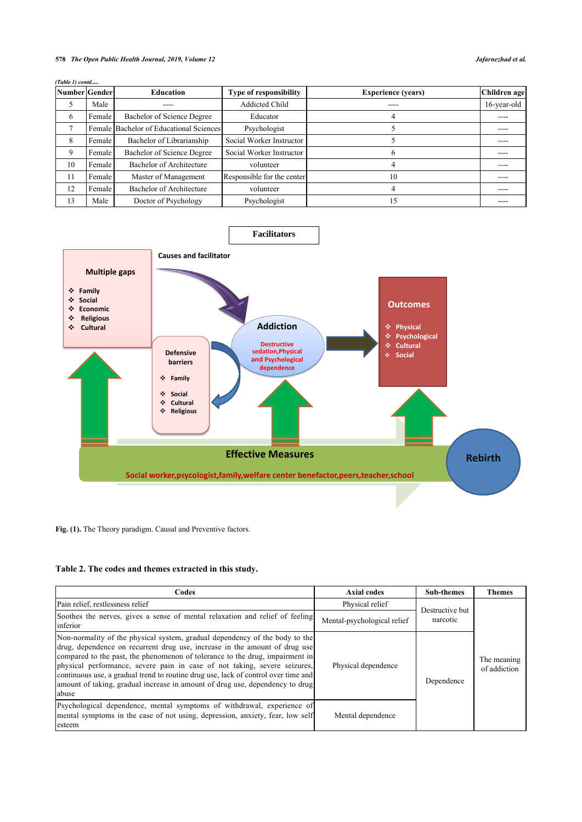# **578** *The Open Public Health Journal, 2019, Volume 12 Jafarnezhad et al.*

| (Table 1) contd |        |                                         |                               |                           |              |
|-----------------|--------|-----------------------------------------|-------------------------------|---------------------------|--------------|
| Number Gender   |        | <b>Education</b>                        | <b>Type of responsibility</b> | <b>Experience (years)</b> | Children age |
| C               | Male   | ----                                    | <b>Addicted Child</b>         |                           | 16-year-old  |
| 6               | Female | Bachelor of Science Degree              | Educator                      |                           |              |
| $\mathcal{I}$   |        | Female Bachelor of Educational Sciences | Psychologist                  |                           | ----         |
| 8               | Female | Bachelor of Librarianship               | Social Worker Instructor      |                           |              |
| 9               | Female | Bachelor of Science Degree              | Social Worker Instructor      | 6                         |              |
| 10              | Female | Bachelor of Architecture                | volunteer                     |                           |              |
| 11              | Female | Master of Management                    | Responsible for the center    | 10                        |              |
| 12              | Female | Bachelor of Architecture                | volunteer                     | 4                         |              |
| 13              | Male   | Doctor of Psychology                    | Psychologist                  | .5                        |              |

<span id="page-3-1"></span>

Fig. (1). The Theory paradigm. Causal and Preventive factors.

# <span id="page-3-0"></span>**Table 2. The codes and themes extracted in this study.**

| Codes                                                                                                                                                                                                                                                                                                                                                                                                                                                                                                 | <b>Axial codes</b>          | <b>Sub-themes</b> | <b>Themes</b>               |
|-------------------------------------------------------------------------------------------------------------------------------------------------------------------------------------------------------------------------------------------------------------------------------------------------------------------------------------------------------------------------------------------------------------------------------------------------------------------------------------------------------|-----------------------------|-------------------|-----------------------------|
| Pain relief, restlessness relief                                                                                                                                                                                                                                                                                                                                                                                                                                                                      | Physical relief             | Destructive but   |                             |
| Soothes the nerves, gives a sense of mental relaxation and relief of feeling<br>inferior                                                                                                                                                                                                                                                                                                                                                                                                              | Mental-psychological relief | narcotic          |                             |
| Non-normality of the physical system, gradual dependency of the body to the<br>drug, dependence on recurrent drug use, increase in the amount of drug use<br>compared to the past, the phenomenon of tolerance to the drug, impairment in<br>physical performance, severe pain in case of not taking, severe seizures,<br>continuous use, a gradual trend to routine drug use, lack of control over time and<br>amount of taking, gradual increase in amount of drug use, dependency to drug<br>abuse | Physical dependence         | Dependence        | The meaning<br>of addiction |
| Psychological dependence, mental symptoms of withdrawal, experience of<br>mental symptoms in the case of not using, depression, anxiety, fear, low self<br>esteem                                                                                                                                                                                                                                                                                                                                     | Mental dependence           |                   |                             |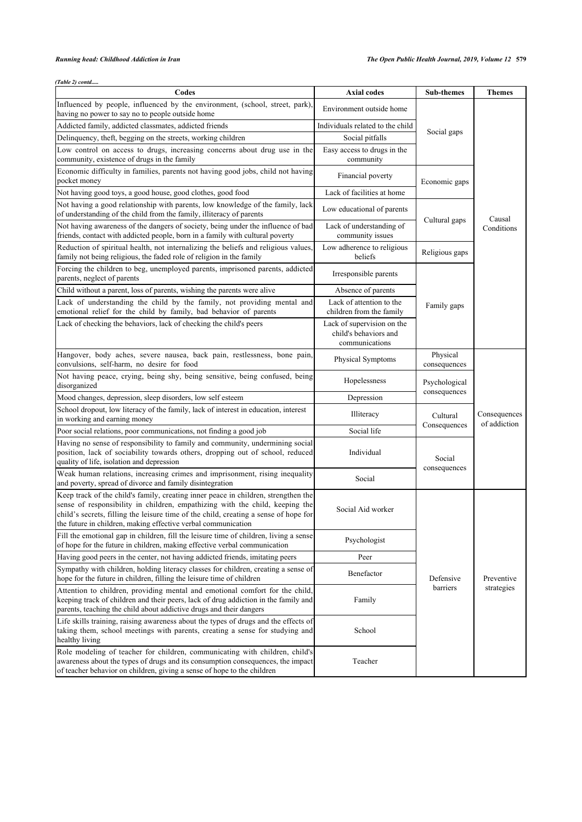*(Table 2) contd.....*

| Codes                                                                                                                                                                                                                                                                                                                       | <b>Axial codes</b>                                                    | Sub-themes                    | <b>Themes</b> |
|-----------------------------------------------------------------------------------------------------------------------------------------------------------------------------------------------------------------------------------------------------------------------------------------------------------------------------|-----------------------------------------------------------------------|-------------------------------|---------------|
| Influenced by people, influenced by the environment, (school, street, park).<br>having no power to say no to people outside home                                                                                                                                                                                            | Environment outside home                                              |                               |               |
| Addicted family, addicted classmates, addicted friends                                                                                                                                                                                                                                                                      | Individuals related to the child                                      |                               |               |
| Delinquency, theft, begging on the streets, working children                                                                                                                                                                                                                                                                | Social pitfalls                                                       | Social gaps                   |               |
| Low control on access to drugs, increasing concerns about drug use in the<br>community, existence of drugs in the family                                                                                                                                                                                                    | Easy access to drugs in the<br>community                              |                               |               |
| Economic difficulty in families, parents not having good jobs, child not having<br>pocket money                                                                                                                                                                                                                             | Financial poverty                                                     | Economic gaps                 |               |
| Not having good toys, a good house, good clothes, good food                                                                                                                                                                                                                                                                 |                                                                       |                               |               |
| Not having a good relationship with parents, low knowledge of the family, lack<br>Low educational of parents<br>of understanding of the child from the family, illiteracy of parents                                                                                                                                        |                                                                       |                               | Causal        |
| Not having awareness of the dangers of society, being under the influence of bad<br>friends, contact with addicted people, born in a family with cultural poverty                                                                                                                                                           | Lack of understanding of<br>community issues                          | Cultural gaps                 | Conditions    |
| Reduction of spiritual health, not internalizing the beliefs and religious values,<br>family not being religious, the faded role of religion in the family                                                                                                                                                                  | Low adherence to religious<br>beliefs                                 | Religious gaps                |               |
| Forcing the children to beg, unemployed parents, imprisoned parents, addicted<br>Irresponsible parents<br>parents, neglect of parents                                                                                                                                                                                       |                                                                       |                               |               |
| Child without a parent, loss of parents, wishing the parents were alive                                                                                                                                                                                                                                                     | Absence of parents                                                    |                               |               |
| Lack of understanding the child by the family, not providing mental and<br>emotional relief for the child by family, bad behavior of parents                                                                                                                                                                                | Lack of attention to the<br>children from the family                  | Family gaps                   |               |
| Lack of checking the behaviors, lack of checking the child's peers                                                                                                                                                                                                                                                          | Lack of supervision on the<br>child's behaviors and<br>communications |                               |               |
| Hangover, body aches, severe nausea, back pain, restlessness, bone pain,<br>convulsions, self-harm, no desire for food                                                                                                                                                                                                      | Physical Symptoms                                                     | Physical<br>consequences      |               |
| Not having peace, crying, being shy, being sensitive, being confused, being<br>disorganized                                                                                                                                                                                                                                 | Hopelessness                                                          | Psychological<br>consequences |               |
| Mood changes, depression, sleep disorders, low self esteem                                                                                                                                                                                                                                                                  | Depression                                                            |                               |               |
| School dropout, low literacy of the family, lack of interest in education, interest<br>in working and earning money                                                                                                                                                                                                         | Illiteracy                                                            | Cultural                      | Consequences  |
| Poor social relations, poor communications, not finding a good job                                                                                                                                                                                                                                                          | Social life                                                           | Consequences                  | of addiction  |
| Having no sense of responsibility to family and community, undermining social<br>position, lack of sociability towards others, dropping out of school, reduced<br>quality of life, isolation and depression                                                                                                                 | Individual                                                            | Social                        |               |
| Weak human relations, increasing crimes and imprisonment, rising inequality<br>and poverty, spread of divorce and family disintegration                                                                                                                                                                                     | Social                                                                | consequences                  |               |
| Keep track of the child's family, creating inner peace in children, strengthen the<br>sense of responsibility in children, empathizing with the child, keeping the<br>child's secrets, filling the leisure time of the child, creating a sense of hope for<br>the future in children, making effective verbal communication | Social Aid worker                                                     |                               |               |
| Fill the emotional gap in children, fill the leisure time of children, living a sense<br>of hope for the future in children, making effective verbal communication                                                                                                                                                          | Psychologist                                                          |                               |               |
| Having good peers in the center, not having addicted friends, imitating peers                                                                                                                                                                                                                                               | Peer                                                                  |                               |               |
| Sympathy with children, holding literacy classes for children, creating a sense of<br>hope for the future in children, filling the leisure time of children                                                                                                                                                                 | Benefactor                                                            | Defensive                     | Preventive    |
| Attention to children, providing mental and emotional comfort for the child,<br>keeping track of children and their peers, lack of drug addiction in the family and<br>parents, teaching the child about addictive drugs and their dangers                                                                                  | Family                                                                | barriers                      | strategies    |
| Life skills training, raising awareness about the types of drugs and the effects of<br>taking them, school meetings with parents, creating a sense for studying and<br>healthy living                                                                                                                                       | School                                                                |                               |               |
| Role modeling of teacher for children, communicating with children, child's<br>awareness about the types of drugs and its consumption consequences, the impact<br>of teacher behavior on children, giving a sense of hope to the children                                                                                   | Teacher                                                               |                               |               |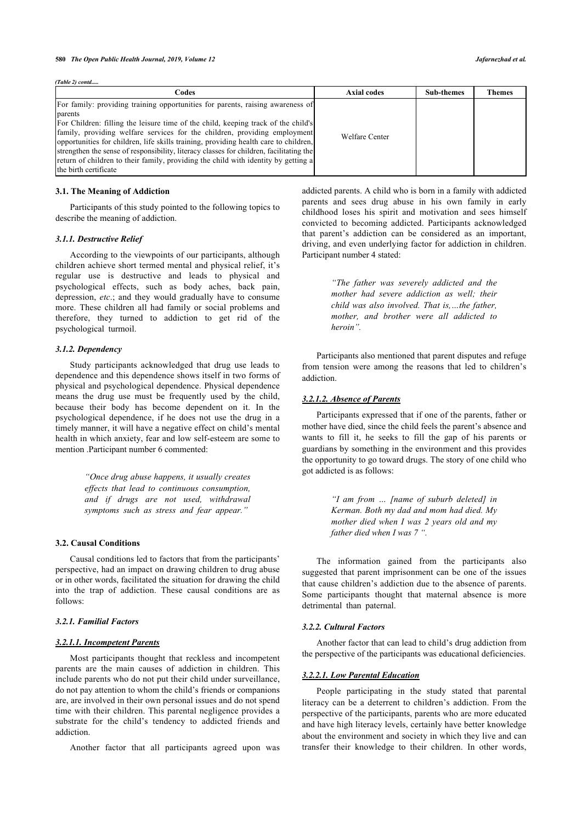*(Table 2) contd.....*

| Codes                                                                                                                                                                                                                                                                                                                                                                                                                                                                                                                                                         | Axial codes    | <b>Sub-themes</b> | <b>Themes</b> |
|---------------------------------------------------------------------------------------------------------------------------------------------------------------------------------------------------------------------------------------------------------------------------------------------------------------------------------------------------------------------------------------------------------------------------------------------------------------------------------------------------------------------------------------------------------------|----------------|-------------------|---------------|
| For family: providing training opportunities for parents, raising awareness of<br>parents<br>For Children: filling the leisure time of the child, keeping track of the child's<br>family, providing welfare services for the children, providing employment<br>opportunities for children, life skills training, providing health care to children,<br>strengthen the sense of responsibility, literacy classes for children, facilitating the<br>return of children to their family, providing the child with identity by getting a<br>the birth certificate | Welfare Center |                   |               |

#### **3.1. The Meaning of Addiction**

Participants of this study pointed to the following topics to describe the meaning of addiction.

#### *3.1.1. Destructive Relief*

According to the viewpoints of our participants, although children achieve short termed mental and physical relief, it's regular use is destructive and leads to physical and psychological effects, such as body aches, back pain, depression, *etc*.; and they would gradually have to consume more. These children all had family or social problems and therefore, they turned to addiction to get rid of the psychological turmoil.

#### *3.1.2. Dependency*

Study participants acknowledged that drug use leads to dependence and this dependence shows itself in two forms of physical and psychological dependence. Physical dependence means the drug use must be frequently used by the child, because their body has become dependent on it. In the psychological dependence, if he does not use the drug in a timely manner, it will have a negative effect on child's mental health in which anxiety, fear and low self-esteem are some to mention .Participant number 6 commented:

> *"Once drug abuse happens, it usually creates effects that lead to continuous consumption, and if drugs are not used, withdrawal symptoms such as stress and fear appear."*

#### **3.2. Causal Conditions**

Causal conditions led to factors that from the participants' perspective, had an impact on drawing children to drug abuse or in other words, facilitated the situation for drawing the child into the trap of addiction. These causal conditions are as follows:

#### *3.2.1. Familial Factors*

#### *3.2.1.1. Incompetent Parents*

Most participants thought that reckless and incompetent parents are the main causes of addiction in children. This include parents who do not put their child under surveillance, do not pay attention to whom the child's friends or companions are, are involved in their own personal issues and do not spend time with their children. This parental negligence provides a substrate for the child's tendency to addicted friends and addiction.

Another factor that all participants agreed upon was

addicted parents. A child who is born in a family with addicted parents and sees drug abuse in his own family in early childhood loses his spirit and motivation and sees himself convicted to becoming addicted. Participants acknowledged that parent's addiction can be considered as an important, driving, and even underlying factor for addiction in children. Participant number 4 stated:

> *"The father was severely addicted and the mother had severe addiction as well; their child was also involved. That is,…the father, mother, and brother were all addicted to heroin".*

Participants also mentioned that parent disputes and refuge from tension were among the reasons that led to children's addiction.

#### *3.2.1.2. Absence of Parents*

Participants expressed that if one of the parents, father or mother have died, since the child feels the parent's absence and wants to fill it, he seeks to fill the gap of his parents or guardians by something in the environment and this provides the opportunity to go toward drugs. The story of one child who got addicted is as follows:

> *"I am from … [name of suburb deleted] in Kerman. Both my dad and mom had died. My mother died when I was 2 years old and my father died when I was 7 ".*

The information gained from the participants also suggested that parent imprisonment can be one of the issues that cause children's addiction due to the absence of parents. Some participants thought that maternal absence is more detrimental than paternal.

#### *3.2.2. Cultural Factors*

Another factor that can lead to child's drug addiction from the perspective of the participants was educational deficiencies.

# *3.2.2.1. Low Parental Education*

People participating in the study stated that parental literacy can be a deterrent to children's addiction. From the perspective of the participants, parents who are more educated and have high literacy levels, certainly have better knowledge about the environment and society in which they live and can transfer their knowledge to their children. In other words,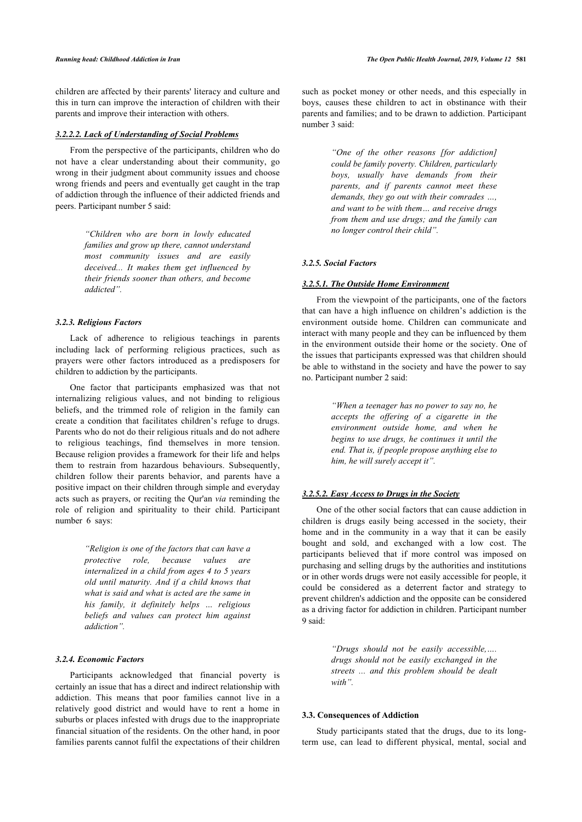children are affected by their parents' literacy and culture and this in turn can improve the interaction of children with their parents and improve their interaction with others.

#### *3.2.2.2. Lack of Understanding of Social Problems*

From the perspective of the participants, children who do not have a clear understanding about their community, go wrong in their judgment about community issues and choose wrong friends and peers and eventually get caught in the trap of addiction through the influence of their addicted friends and peers. Participant number 5 said:

> *"Children who are born in lowly educated families and grow up there, cannot understand most community issues and are easily deceived... It makes them get influenced by their friends sooner than others, and become addicted".*

#### *3.2.3. Religious Factors*

Lack of adherence to religious teachings in parents including lack of performing religious practices, such as prayers were other factors introduced as a predisposers for children to addiction by the participants.

One factor that participants emphasized was that not internalizing religious values, and not binding to religious beliefs, and the trimmed role of religion in the family can create a condition that facilitates children's refuge to drugs. Parents who do not do their religious rituals and do not adhere to religious teachings, find themselves in more tension. Because religion provides a framework for their life and helps them to restrain from hazardous behaviours. Subsequently, children follow their parents behavior, and parents have a positive impact on their children through simple and everyday acts such as prayers, or reciting the Qur'an *via* reminding the role of religion and spirituality to their child. Participant number 6 says:

> *"Religion is one of the factors that can have a protective role, because values are internalized in a child from ages 4 to 5 years old until maturity. And if a child knows that what is said and what is acted are the same in his family, it definitely helps … religious beliefs and values can protect him against addiction".*

#### *3.2.4. Economic Factors*

Participants acknowledged that financial poverty is certainly an issue that has a direct and indirect relationship with addiction. This means that poor families cannot live in a relatively good district and would have to rent a home in suburbs or places infested with drugs due to the inappropriate financial situation of the residents. On the other hand, in poor families parents cannot fulfil the expectations of their children such as pocket money or other needs, and this especially in boys, causes these children to act in obstinance with their parents and families; and to be drawn to addiction. Participant number 3 said:

> *"One of the other reasons [for addiction] could be family poverty. Children, particularly boys, usually have demands from their parents, and if parents cannot meet these demands, they go out with their comrades …, and want to be with them… and receive drugs from them and use drugs; and the family can no longer control their child".*

# *3.2.5. Social Factors*

### *3.2.5.1. The Outside Home Environment*

From the viewpoint of the participants, one of the factors that can have a high influence on children's addiction is the environment outside home. Children can communicate and interact with many people and they can be influenced by them in the environment outside their home or the society. One of the issues that participants expressed was that children should be able to withstand in the society and have the power to say no. Participant number 2 said:

> *"When a teenager has no power to say no, he accepts the offering of a cigarette in the environment outside home, and when he begins to use drugs, he continues it until the end. That is, if people propose anything else to him, he will surely accept it".*

#### *3.2.5.2. Easy Access to Drugs in the Society*

One of the other social factors that can cause addiction in children is drugs easily being accessed in the society, their home and in the community in a way that it can be easily bought and sold, and exchanged with a low cost. The participants believed that if more control was imposed on purchasing and selling drugs by the authorities and institutions or in other words drugs were not easily accessible for people, it could be considered as a deterrent factor and strategy to prevent children's addiction and the opposite can be considered as a driving factor for addiction in children. Participant number 9 said:

> *"Drugs should not be easily accessible,…. drugs should not be easily exchanged in the streets ... and this problem should be dealt with".*

# **3.3. Consequences of Addiction**

Study participants stated that the drugs, due to its longterm use, can lead to different physical, mental, social and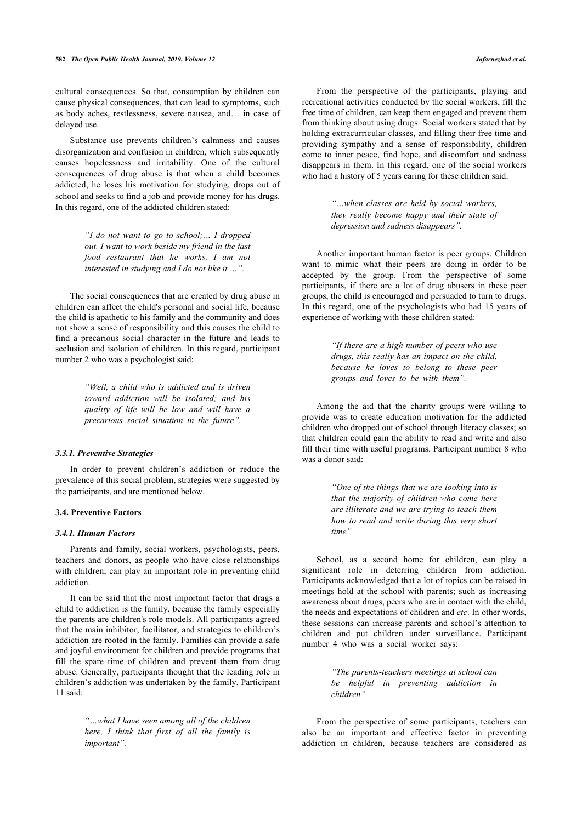cultural consequences. So that, consumption by children can cause physical consequences, that can lead to symptoms, such as body aches, restlessness, severe nausea, and… in case of delayed use.

Substance use prevents children's calmness and causes disorganization and confusion in children, which subsequently causes hopelessness and irritability. One of the cultural consequences of drug abuse is that when a child becomes addicted, he loses his motivation for studying, drops out of school and seeks to find a job and provide money for his drugs. In this regard, one of the addicted children stated:

> *"I do not want to go to school;… I dropped out. I want to work beside my friend in the fast food restaurant that he works. I am not interested in studying and I do not like it …".*

The social consequences that are created by drug abuse in children can affect the child's personal and social life, because the child is apathetic to his family and the community and does not show a sense of responsibility and this causes the child to find a precarious social character in the future and leads to seclusion and isolation of children. In this regard, participant number 2 who was a psychologist said:

> *"Well, a child who is addicted and is driven toward addiction will be isolated; and his quality of life will be low and will have a precarious social situation in the future".*

#### *3.3.1. Preventive Strategies*

In order to prevent children's addiction or reduce the prevalence of this social problem, strategies were suggested by the participants, and are mentioned below.

### **3.4. Preventive Factors**

# *3.4.1. Human Factors*

Parents and family, social workers, psychologists, peers, teachers and donors, as people who have close relationships with children, can play an important role in preventing child addiction.

It can be said that the most important factor that drags a child to addiction is the family, because the family especially the parents are children's role models. All participants agreed that the main inhibitor, facilitator, and strategies to children's addiction are rooted in the family. Families can provide a safe and joyful environment for children and provide programs that fill the spare time of children and prevent them from drug abuse. Generally, participants thought that the leading role in children's addiction was undertaken by the family. Participant 11 said:

> *"…what I have seen among all of the children here, I think that first of all the family is important".*

From the perspective of the participants, playing and recreational activities conducted by the social workers, fill the free time of children, can keep them engaged and prevent them from thinking about using drugs. Social workers stated that by holding extracurricular classes, and filling their free time and providing sympathy and a sense of responsibility, children come to inner peace, find hope, and discomfort and sadness disappears in them. In this regard, one of the social workers who had a history of 5 years caring for these children said:

> *"…when classes are held by social workers, they really become happy and their state of depression and sadness disappears".*

Another important human factor is peer groups. Children want to mimic what their peers are doing in order to be accepted by the group. From the perspective of some participants, if there are a lot of drug abusers in these peer groups, the child is encouraged and persuaded to turn to drugs. In this regard, one of the psychologists who had 15 years of experience of working with these children stated:

> *"If there are a high number of peers who use drugs, this really has an impact on the child, because he loves to belong to these peer groups and loves to be with them".*

Among the aid that the charity groups were willing to provide was to create education motivation for the addicted children who dropped out of school through literacy classes; so that children could gain the ability to read and write and also fill their time with useful programs. Participant number 8 who was a donor said:

> *"One of the things that we are looking into is that the majority of children who come here are illiterate and we are trying to teach them how to read and write during this very short time".*

School, as a second home for children, can play a significant role in deterring children from addiction. Participants acknowledged that a lot of topics can be raised in meetings hold at the school with parents; such as increasing awareness about drugs, peers who are in contact with the child, the needs and expectations of children and *etc*. In other words, these sessions can increase parents and school's attention to children and put children under surveillance. Participant number 4 who was a social worker says:

> *"The parents-teachers meetings at school can be helpful in preventing addiction in children".*

From the perspective of some participants, teachers can also be an important and effective factor in preventing addiction in children, because teachers are considered as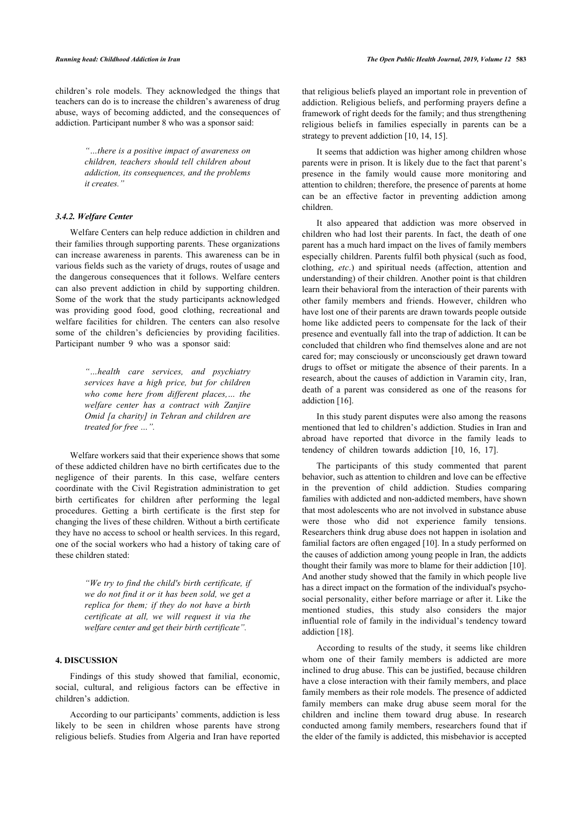children's role models. They acknowledged the things that teachers can do is to increase the children's awareness of drug abuse, ways of becoming addicted, and the consequences of addiction. Participant number 8 who was a sponsor said:

> *"…there is a positive impact of awareness on children, teachers should tell children about addiction, its consequences, and the problems it creates."*

# *3.4.2. Welfare Center*

Welfare Centers can help reduce addiction in children and their families through supporting parents. These organizations can increase awareness in parents. This awareness can be in various fields such as the variety of drugs, routes of usage and the dangerous consequences that it follows. Welfare centers can also prevent addiction in child by supporting children. Some of the work that the study participants acknowledged was providing good food, good clothing, recreational and welfare facilities for children. The centers can also resolve some of the children's deficiencies by providing facilities. Participant number 9 who was a sponsor said:

> *"…health care services, and psychiatry services have a high price, but for children who come here from different places,… the welfare center has a contract with Zanjire Omid [a charity] in Tehran and children are treated for free …".*

Welfare workers said that their experience shows that some of these addicted children have no birth certificates due to the negligence of their parents. In this case, welfare centers coordinate with the Civil Registration administration to get birth certificates for children after performing the legal procedures. Getting a birth certificate is the first step for changing the lives of these children. Without a birth certificate they have no access to school or health services. In this regard, one of the social workers who had a history of taking care of these children stated:

> *"We try to find the child's birth certificate, if we do not find it or it has been sold, we get a replica for them; if they do not have a birth certificate at all, we will request it via the welfare center and get their birth certificate".*

# **4. DISCUSSION**

Findings of this study showed that familial, economic, social, cultural, and religious factors can be effective in children's addiction.

According to our participants' comments, addiction is less likely to be seen in children whose parents have strong religious beliefs. Studies from Algeria and Iran have reported that religious beliefs played an important role in prevention of addiction. Religious beliefs, and performing prayers define a framework of right deeds for the family; and thus strengthening religious beliefs in families especially in parents can be a strategy to prevent addiction [[10,](#page-10-9) [14](#page-10-13), [15\]](#page-10-14).

It seems that addiction was higher among children whose parents were in prison. It is likely due to the fact that parent's presence in the family would cause more monitoring and attention to children; therefore, the presence of parents at home can be an effective factor in preventing addiction among children.

It also appeared that addiction was more observed in children who had lost their parents. In fact, the death of one parent has a much hard impact on the lives of family members especially children. Parents fulfil both physical (such as food, clothing, *etc*.) and spiritual needs (affection, attention and understanding) of their children. Another point is that children learn their behavioral from the interaction of their parents with other family members and friends. However, children who have lost one of their parents are drawn towards people outside home like addicted peers to compensate for the lack of their presence and eventually fall into the trap of addiction. It can be concluded that children who find themselves alone and are not cared for; may consciously or unconsciously get drawn toward drugs to offset or mitigate the absence of their parents. In a research, about the causes of addiction in Varamin city, Iran, death of a parent was considered as one of the reasons for addiction [[16\]](#page-10-15).

In this study parent disputes were also among the reasons mentioned that led to children's addiction. Studies in Iran and abroad have reported that divorce in the family leads to tendency of children towards addiction[[10,](#page-10-9) [16](#page-10-15), [17\]](#page-10-16).

The participants of this study commented that parent behavior, such as attention to children and love can be effective in the prevention of child addiction. Studies comparing families with addicted and non-addicted members, have shown that most adolescents who are not involved in substance abuse were those who did not experience family tensions. Researchers think drug abuse does not happen in isolation and familial factors are often engaged [\[10](#page-10-9)]. In a study performed on the causes of addiction among young people in Iran, the addicts thought their family was more to blame for their addiction [\[10](#page-10-9)]. And another study showed that the family in which people live has a direct impact on the formation of the individual's psychosocial personality, either before marriage or after it. Like the mentioned studies, this study also considers the major influential role of family in the individual's tendency toward addiction [[18\]](#page-10-17).

According to results of the study, it seems like children whom one of their family members is addicted are more inclined to drug abuse. This can be justified, because children have a close interaction with their family members, and place family members as their role models. The presence of addicted family members can make drug abuse seem moral for the children and incline them toward drug abuse. In research conducted among family members, researchers found that if the elder of the family is addicted, this misbehavior is accepted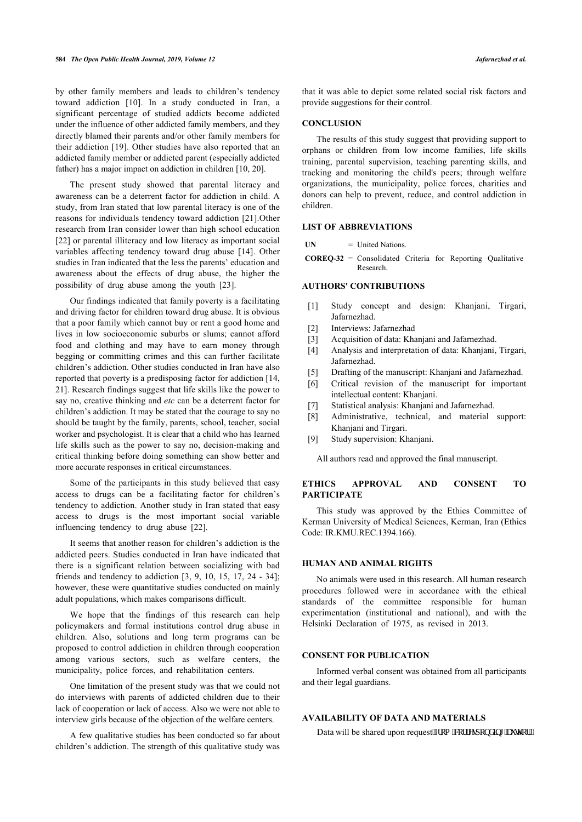by other family members and leads to children's tendency toward addiction[[10\]](#page-10-9). In a study conducted in Iran, a significant percentage of studied addicts become addicted under the influence of other addicted family members, and they directly blamed their parents and/or other family members for their addiction [\[19\]](#page-10-18). Other studies have also reported that an addicted family member or addicted parent (especially addicted father) has a major impact on addiction in children [\[10](#page-10-9), [20\]](#page-10-19).

The present study showed that parental literacy and awareness can be a deterrent factor for addiction in child. A study, from Iran stated that low parental literacy is one of the reasons for individuals tendency toward addiction [[21\]](#page-10-20).Other research from Iran consider lower than high school education [[22\]](#page-10-21) or parental illiteracy and low literacy as important social variables affecting tendency toward drug abuse[[14\]](#page-10-13). Other studies in Iran indicated that the less the parents' education and awareness about the effects of drug abuse, the higher the possibility of drug abuse among the youth [\[23](#page-10-22)].

Our findings indicated that family poverty is a facilitating and driving factor for children toward drug abuse. It is obvious that a poor family which cannot buy or rent a good home and lives in low socioeconomic suburbs or slums; cannot afford food and clothing and may have to earn money through begging or committing crimes and this can further facilitate children's addiction. Other studies conducted in Iran have also reported that poverty is a predisposing factor for addiction [[14](#page-10-13), [21\]](#page-10-20). Research findings suggest that life skills like the power to say no, creative thinking and *etc* can be a deterrent factor for children's addiction. It may be stated that the courage to say no should be taught by the family, parents, school, teacher, social worker and psychologist. It is clear that a child who has learned life skills such as the power to say no, decision-making and critical thinking before doing something can show better and more accurate responses in critical circumstances.

Some of the participants in this study believed that easy access to drugs can be a facilitating factor for children's tendency to addiction. Another study in Iran stated that easy access to drugs is the most important social variable influencing tendency to drug abuse [\[22](#page-10-21)].

It seems that another reason for children's addiction is the addicted peers. Studies conducted in Iran have indicated that there is a significant relation between socializing with bad friends and tendency to addiction [[3,](#page-10-2) [9,](#page-10-8) [10](#page-10-9), [15,](#page-10-14) [17,](#page-10-16) [24](#page-10-23) - [34\]](#page-10-24); however, these were quantitative studies conducted on mainly adult populations, which makes comparisons difficult.

We hope that the findings of this research can help policymakers and formal institutions control drug abuse in children. Also, solutions and long term programs can be proposed to control addiction in children through cooperation among various sectors, such as welfare centers, the municipality, police forces, and rehabilitation centers.

One limitation of the present study was that we could not do interviews with parents of addicted children due to their lack of cooperation or lack of access. Also we were not able to interview girls because of the objection of the welfare centers.

A few qualitative studies has been conducted so far about children's addiction. The strength of this qualitative study was that it was able to depict some related social risk factors and provide suggestions for their control.

# **CONCLUSION**

The results of this study suggest that providing support to orphans or children from low income families, life skills training, parental supervision, teaching parenting skills, and tracking and monitoring the child's peers; through welfare organizations, the municipality, police forces, charities and donors can help to prevent, reduce, and control addiction in children.

# **LIST OF ABBREVIATIONS**

**UN** = United Nations.

**COREQ-32** = Consolidated Criteria for Reporting Qualitative Research.

# **AUTHORS' CONTRIBUTIONS**

- [1] Study concept and design: Khanjani, Tirgari, Jafarnezhad.
- [2] Interviews: Jafarnezhad
- [3] Acquisition of data: Khanjani and Jafarnezhad.
- [4] Analysis and interpretation of data: Khanjani, Tirgari, Jafarnezhad.
- [5] Drafting of the manuscript: Khanjani and Jafarnezhad.
- [6] Critical revision of the manuscript for important intellectual content: Khanjani.
- [7] Statistical analysis: Khaniani and Jafarnezhad.
- [8] Administrative, technical, and material support: Khanjani and Tirgari.
- [9] Study supervision: Khanjani.

All authors read and approved the final manuscript.

# **ETHICS APPROVAL AND CONSENT TO PARTICIPATE**

This study was approved by the Ethics Committee of Kerman University of Medical Sciences, Kerman, Iran (Ethics Code: IR.KMU.REC.1394.166).

# **HUMAN AND ANIMAL RIGHTS**

No animals were used in this research. All human research procedures followed were in accordance with the ethical standards of the committee responsible for human experimentation (institutional and national), and with the Helsinki Declaration of 1975, as revised in 2013.

# **CONSENT FOR PUBLICATION**

Informed verbal consent was obtained from all participants and their legal guardians.

# **AVAILABILITY OF DATA AND MATERIALS**

Data will be shared upon request'htqo "eqttgur qpf kpi "cwj qt0"